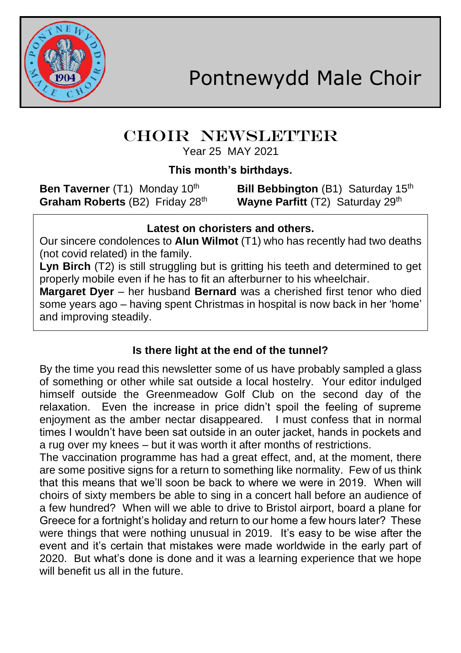

# CHOIR NEWSLETTER

Year 25 MAY 2021

## **This month's birthdays.**

**Graham Roberts** (B2) Friday 28<sup>th</sup> Wayne Parfitt (T2) Saturday 29<sup>th</sup>

**Ben Taverner** (T1) Monday 10<sup>th</sup> **Bill Bebbington** (B1) Saturday 15<sup>th</sup>

### **Latest on choristers and others.**

Our sincere condolences to **Alun Wilmot** (T1) who has recently had two deaths (not covid related) in the family.

**Lyn Birch** (T2) is still struggling but is gritting his teeth and determined to get properly mobile even if he has to fit an afterburner to his wheelchair.

**Margaret Dyer** – her husband **Bernard** was a cherished first tenor who died some years ago – having spent Christmas in hospital is now back in her 'home' and improving steadily.

# **Is there light at the end of the tunnel?**

By the time you read this newsletter some of us have probably sampled a glass of something or other while sat outside a local hostelry. Your editor indulged himself outside the Greenmeadow Golf Club on the second day of the relaxation. Even the increase in price didn't spoil the feeling of supreme enjoyment as the amber nectar disappeared. I must confess that in normal times I wouldn't have been sat outside in an outer jacket, hands in pockets and a rug over my knees – but it was worth it after months of restrictions.

The vaccination programme has had a great effect, and, at the moment, there are some positive signs for a return to something like normality. Few of us think that this means that we'll soon be back to where we were in 2019. When will choirs of sixty members be able to sing in a concert hall before an audience of a few hundred? When will we able to drive to Bristol airport, board a plane for Greece for a fortnight's holiday and return to our home a few hours later? These were things that were nothing unusual in 2019. It's easy to be wise after the event and it's certain that mistakes were made worldwide in the early part of 2020. But what's done is done and it was a learning experience that we hope will benefit us all in the future.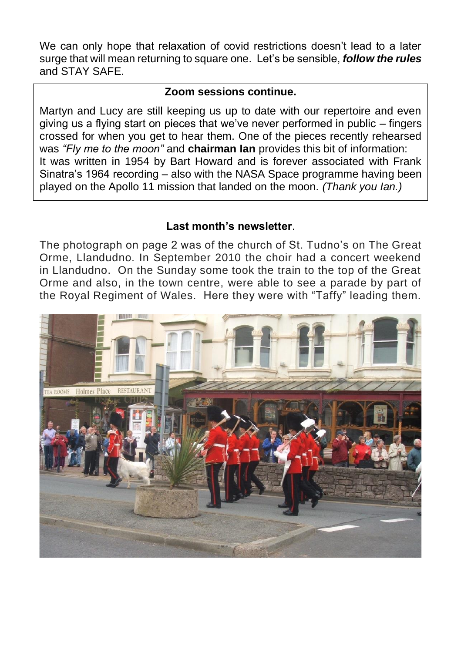We can only hope that relaxation of covid restrictions doesn't lead to a later surge that will mean returning to square one. Let's be sensible, *follow the rules* and STAY SAFE.

#### **Zoom sessions continue.**

Martyn and Lucy are still keeping us up to date with our repertoire and even giving us a flying start on pieces that we've never performed in public – fingers crossed for when you get to hear them. One of the pieces recently rehearsed was *"Fly me to the moon"* and **chairman Ian** provides this bit of information: It was written in 1954 by Bart Howard and is forever associated with Frank Sinatra's 1964 recording – also with the NASA Space programme having been played on the Apollo 11 mission that landed on the moon. *(Thank you Ian.)*

#### **Last month's newsletter**.

The photograph on page 2 was of the church of St. Tudno's on The Great Orme, Llandudno. In September 2010 the choir had a concert weekend in Llandudno. On the Sunday some took the train to the top of the Great Orme and also, in the town centre, were able to see a parade by part of the Royal Regiment of Wales. Here they were with "Taffy" leading them.

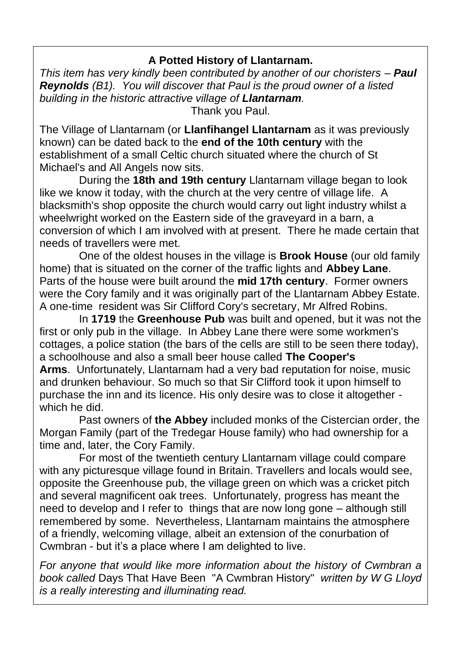#### **A Potted History of Llantarnam.**

*This item has very kindly been contributed by another of our choristers – Paul Reynolds (B1). You will discover that Paul is the proud owner of a listed building in the historic attractive village of Llantarnam.* Thank you Paul.

The Village of Llantarnam (or **Llanfihangel Llantarnam** as it was previously known) can be dated back to the **end of the 10th century** with the establishment of a small Celtic church situated where the church of St Michael's and All Angels now sits.

During the **18th and 19th century** Llantarnam village began to look like we know it today, with the church at the very centre of village life. A blacksmith's shop opposite the church would carry out light industry whilst a wheelwright worked on the Eastern side of the graveyard in a barn, a conversion of which I am involved with at present. There he made certain that needs of travellers were met.

One of the oldest houses in the village is **Brook House** (our old family home) that is situated on the corner of the traffic lights and **Abbey Lane**. Parts of the house were built around the **mid 17th century**. Former owners were the Cory family and it was originally part of the Llantarnam Abbey Estate. A one-time resident was Sir Clifford Cory's secretary, Mr Alfred Robins.

In **1719** the **Greenhouse Pub** was built and opened, but it was not the first or only pub in the village. In Abbey Lane there were some workmen's cottages, a police station (the bars of the cells are still to be seen there today), a schoolhouse and also a small beer house called **The Cooper's Arms**. Unfortunately, Llantarnam had a very bad reputation for noise, music and drunken behaviour. So much so that Sir Clifford took it upon himself to purchase the inn and its licence. His only desire was to close it altogether which he did.

Past owners of **the Abbey** included monks of the Cistercian order, the Morgan Family (part of the Tredegar House family) who had ownership for a time and, later, the Cory Family.

For most of the twentieth century Llantarnam village could compare with any picturesque village found in Britain. Travellers and locals would see, opposite the Greenhouse pub, the village green on which was a cricket pitch and several magnificent oak trees. Unfortunately, progress has meant the need to develop and I refer to things that are now long gone – although still remembered by some. Nevertheless, Llantarnam maintains the atmosphere of a friendly, welcoming village, albeit an extension of the conurbation of Cwmbran - but it's a place where I am delighted to live.

*For anyone that would like more information about the history of Cwmbran a book called* Days That Have Been "A Cwmbran History" *written by W G Lloyd is a really interesting and illuminating read.*